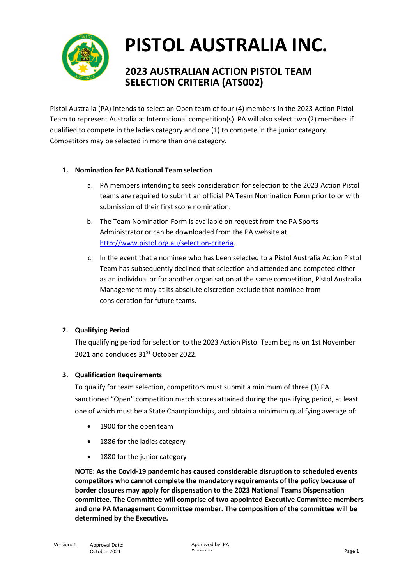

## **PISTOL AUSTRALIA INC.**

## **2023 AUSTRALIAN ACTION PISTOL TEAM SELECTION CRITERIA (ATS002)**

Pistol Australia (PA) intends to select an Open team of four (4) members in the 2023 Action Pistol Team to represent Australia at International competition(s). PA will also select two (2) members if qualified to compete in the ladies category and one (1) to compete in the junior category. Competitors may be selected in more than one category.

### **1. Nomination for PA National Team selection**

- a. PA members intending to seek consideration for selection to the 2023 Action Pistol teams are required to submit an official PA Team Nomination Form prior to or with submission of their first score nomination.
- b. The Team Nomination Form is available on request from the PA Sports Administrator or can be downloaded from the PA website at [http://www.pistol.org.au/selection-criteria.](http://www.pistol.org.au/selection-criteria)
- c. In the event that a nominee who has been selected to a Pistol Australia Action Pistol Team has subsequently declined that selection and attended and competed either as an individual or for another organisation at the same competition, Pistol Australia Management may at its absolute discretion exclude that nominee from consideration for future teams.

## **2. Qualifying Period**

The qualifying period for selection to the 2023 Action Pistol Team begins on 1st November 2021 and concludes  $31<sup>ST</sup>$  October 2022.

#### **3. Qualification Requirements**

To qualify for team selection, competitors must submit a minimum of three (3) PA sanctioned "Open" competition match scores attained during the qualifying period, at least one of which must be a State Championships, and obtain a minimum qualifying average of:

- 1900 for the open team
- 1886 for the ladies category
- 1880 for the junior category

**NOTE: As the Covid-19 pandemic has caused considerable disruption to scheduled events competitors who cannot complete the mandatory requirements of the policy because of border closures may apply for dispensation to the 2023 National Teams Dispensation committee. The Committee will comprise of two appointed Executive Committee members and one PA Management Committee member. The composition of the committee will be determined by the Executive.**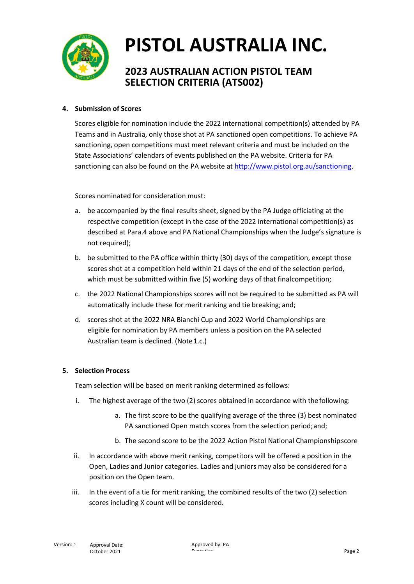

## **PISTOL AUSTRALIA INC.**

## **2023 AUSTRALIAN ACTION PISTOL TEAM SELECTION CRITERIA (ATS002)**

### **4. Submission of Scores**

Scores eligible for nomination include the 2022 international competition(s) attended by PA Teams and in Australia, only those shot at PA sanctioned open competitions. To achieve PA sanctioning, open competitions must meet relevant criteria and must be included on the State Associations' calendars of events published on the PA website. Criteria for PA sanctioning can also be found on the PA website at [http://www.pistol.org.au/sanctioning.](http://www.pistol.org.au/sanctioning)

Scores nominated for consideration must:

- a. be accompanied by the final results sheet, signed by the PA Judge officiating at the respective competition (except in the case of the 2022 international competition(s) as described at Para.4 above and PA National Championships when the Judge's signature is not required);
- b. be submitted to the PA office within thirty (30) days of the competition, except those scores shot at a competition held within 21 days of the end of the selection period, which must be submitted within five (5) working days of that finalcompetition;
- c. the 2022 National Championships scores will not be required to be submitted as PA will automatically include these for merit ranking and tie breaking; and;
- d. scores shot at the 2022 NRA Bianchi Cup and 2022 World Championships are eligible for nomination by PA members unless a position on the PA selected Australian team is declined. (Note 1.c.)

#### **5. Selection Process**

Team selection will be based on merit ranking determined as follows:

- i. The highest average of the two (2) scores obtained in accordance with thefollowing:
	- a. The first score to be the qualifying average of the three (3) best nominated PA sanctioned Open match scores from the selection period;and;
	- b. The second score to be the 2022 Action Pistol National Championshipscore
- ii. In accordance with above merit ranking, competitors will be offered a position in the Open, Ladies and Junior categories. Ladies and juniors may also be considered for a position on the Open team.
- iii. In the event of a tie for merit ranking, the combined results of the two (2) selection scores including X count will be considered.